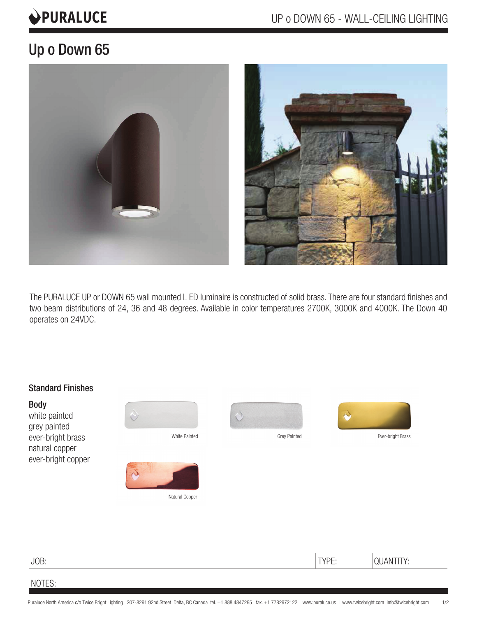# **OPURALUCE**

## Up o Down 65



The PURALUCE UP or DOWN 65 wall mounted L ED luminaire is constructed of solid brass. There are four standard finishes and two beam distributions of 24, 36 and 48 degrees. Available in color temperatures 2700K, 3000K and 4000K. The Down 40 operates on 24VDC.



### JOB: TYPE: QUANTITY:

#### NOTES: